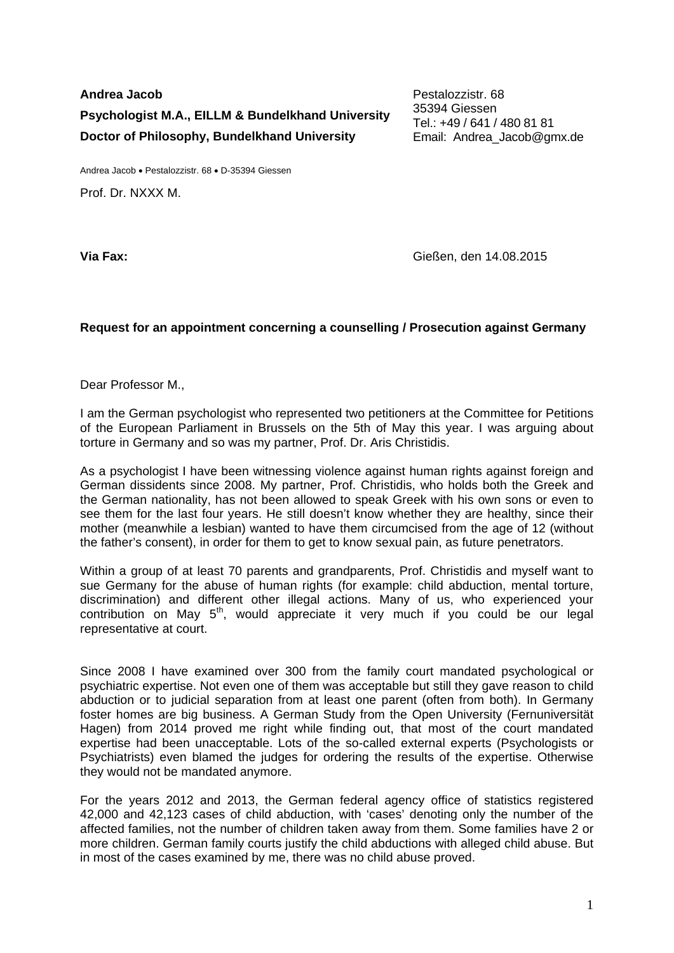**Andrea Jacob Psychologist M.A., EILLM & Bundelkhand University Doctor of Philosophy, Bundelkhand University** 

Pestalozzistr. 68 35394 Giessen Tel.: +49 / 641 / 480 81 81 Email: Andrea\_Jacob@gmx.de

Andrea Jacob • Pestalozzistr. 68 • D-35394 Giessen

Prof. Dr. NXXX M.

**Via Fax:** Gießen, den 14.08.2015

## **Request for an appointment concerning a counselling / Prosecution against Germany**

Dear Professor M.,

I am the German psychologist who represented two petitioners at the Committee for Petitions of the European Parliament in Brussels on the 5th of May this year. I was arguing about torture in Germany and so was my partner, Prof. Dr. Aris Christidis.

As a psychologist I have been witnessing violence against human rights against foreign and German dissidents since 2008. My partner, Prof. Christidis, who holds both the Greek and the German nationality, has not been allowed to speak Greek with his own sons or even to see them for the last four years. He still doesn't know whether they are healthy, since their mother (meanwhile a lesbian) wanted to have them circumcised from the age of 12 (without the father's consent), in order for them to get to know sexual pain, as future penetrators.

Within a group of at least 70 parents and grandparents, Prof. Christidis and myself want to sue Germany for the abuse of human rights (for example: child abduction, mental torture, discrimination) and different other illegal actions. Many of us, who experienced your contribution on May  $5<sup>th</sup>$ , would appreciate it very much if you could be our legal representative at court.

Since 2008 I have examined over 300 from the family court mandated psychological or psychiatric expertise. Not even one of them was acceptable but still they gave reason to child abduction or to judicial separation from at least one parent (often from both). In Germany foster homes are big business. A German Study from the Open University (Fernuniversität Hagen) from 2014 proved me right while finding out, that most of the court mandated expertise had been unacceptable. Lots of the so-called external experts (Psychologists or Psychiatrists) even blamed the judges for ordering the results of the expertise. Otherwise they would not be mandated anymore.

For the years 2012 and 2013, the German federal agency office of statistics registered 42,000 and 42,123 cases of child abduction, with 'cases' denoting only the number of the affected families, not the number of children taken away from them. Some families have 2 or more children. German family courts justify the child abductions with alleged child abuse. But in most of the cases examined by me, there was no child abuse proved.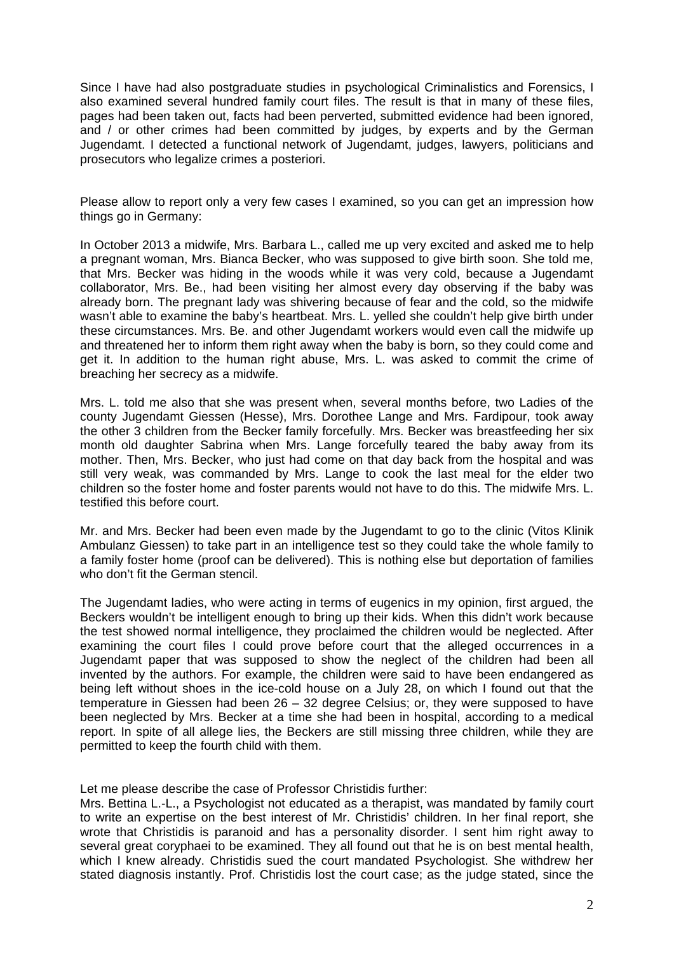Since I have had also postgraduate studies in psychological Criminalistics and Forensics, I also examined several hundred family court files. The result is that in many of these files, pages had been taken out, facts had been perverted, submitted evidence had been ignored, and / or other crimes had been committed by judges, by experts and by the German Jugendamt. I detected a functional network of Jugendamt, judges, lawyers, politicians and prosecutors who legalize crimes a posteriori.

Please allow to report only a very few cases I examined, so you can get an impression how things go in Germany:

In October 2013 a midwife, Mrs. Barbara L., called me up very excited and asked me to help a pregnant woman, Mrs. Bianca Becker, who was supposed to give birth soon. She told me, that Mrs. Becker was hiding in the woods while it was very cold, because a Jugendamt collaborator, Mrs. Be., had been visiting her almost every day observing if the baby was already born. The pregnant lady was shivering because of fear and the cold, so the midwife wasn't able to examine the baby's heartbeat. Mrs. L. yelled she couldn't help give birth under these circumstances. Mrs. Be. and other Jugendamt workers would even call the midwife up and threatened her to inform them right away when the baby is born, so they could come and get it. In addition to the human right abuse, Mrs. L. was asked to commit the crime of breaching her secrecy as a midwife.

Mrs. L. told me also that she was present when, several months before, two Ladies of the county Jugendamt Giessen (Hesse), Mrs. Dorothee Lange and Mrs. Fardipour, took away the other 3 children from the Becker family forcefully. Mrs. Becker was breastfeeding her six month old daughter Sabrina when Mrs. Lange forcefully teared the baby away from its mother. Then, Mrs. Becker, who just had come on that day back from the hospital and was still very weak, was commanded by Mrs. Lange to cook the last meal for the elder two children so the foster home and foster parents would not have to do this. The midwife Mrs. L. testified this before court.

Mr. and Mrs. Becker had been even made by the Jugendamt to go to the clinic (Vitos Klinik Ambulanz Giessen) to take part in an intelligence test so they could take the whole family to a family foster home (proof can be delivered). This is nothing else but deportation of families who don't fit the German stencil.

The Jugendamt ladies, who were acting in terms of eugenics in my opinion, first argued, the Beckers wouldn't be intelligent enough to bring up their kids. When this didn't work because the test showed normal intelligence, they proclaimed the children would be neglected. After examining the court files I could prove before court that the alleged occurrences in a Jugendamt paper that was supposed to show the neglect of the children had been all invented by the authors. For example, the children were said to have been endangered as being left without shoes in the ice-cold house on a July 28, on which I found out that the temperature in Giessen had been 26 – 32 degree Celsius; or, they were supposed to have been neglected by Mrs. Becker at a time she had been in hospital, according to a medical report. In spite of all allege lies, the Beckers are still missing three children, while they are permitted to keep the fourth child with them.

Let me please describe the case of Professor Christidis further:

Mrs. Bettina L.-L., a Psychologist not educated as a therapist, was mandated by family court to write an expertise on the best interest of Mr. Christidis' children. In her final report, she wrote that Christidis is paranoid and has a personality disorder. I sent him right away to several great coryphaei to be examined. They all found out that he is on best mental health, which I knew already. Christidis sued the court mandated Psychologist. She withdrew her stated diagnosis instantly. Prof. Christidis lost the court case; as the judge stated, since the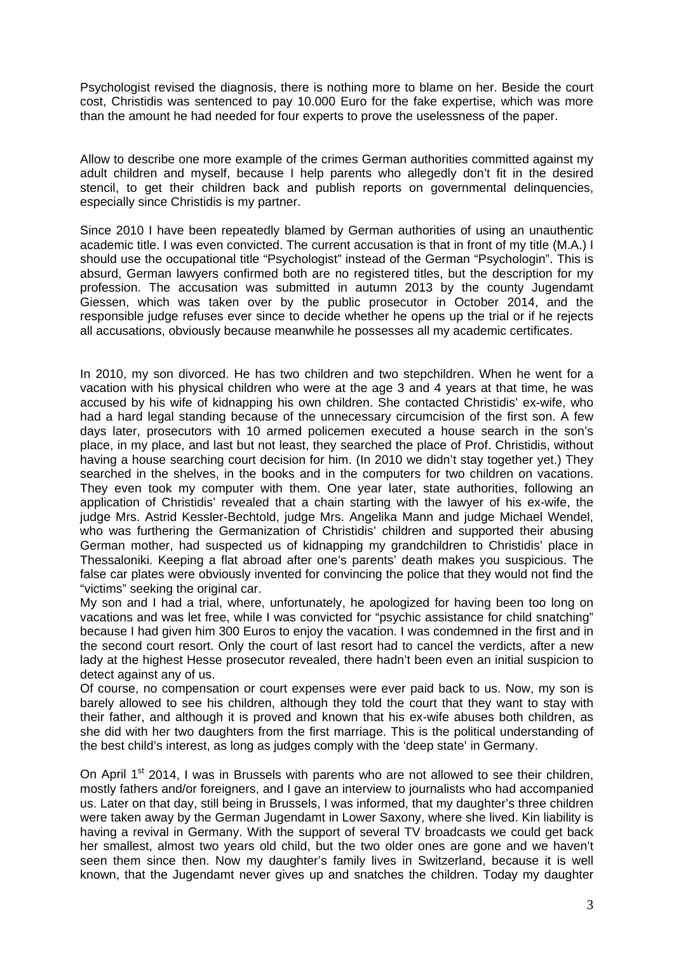Psychologist revised the diagnosis, there is nothing more to blame on her. Beside the court cost, Christidis was sentenced to pay 10.000 Euro for the fake expertise, which was more than the amount he had needed for four experts to prove the uselessness of the paper.

Allow to describe one more example of the crimes German authorities committed against my adult children and myself, because I help parents who allegedly don't fit in the desired stencil, to get their children back and publish reports on governmental delinquencies, especially since Christidis is my partner.

Since 2010 I have been repeatedly blamed by German authorities of using an unauthentic academic title. I was even convicted. The current accusation is that in front of my title (M.A.) I should use the occupational title "Psychologist" instead of the German "Psychologin". This is absurd, German lawyers confirmed both are no registered titles, but the description for my profession. The accusation was submitted in autumn 2013 by the county Jugendamt Giessen, which was taken over by the public prosecutor in October 2014, and the responsible judge refuses ever since to decide whether he opens up the trial or if he rejects all accusations, obviously because meanwhile he possesses all my academic certificates.

In 2010, my son divorced. He has two children and two stepchildren. When he went for a vacation with his physical children who were at the age 3 and 4 years at that time, he was accused by his wife of kidnapping his own children. She contacted Christidis' ex-wife, who had a hard legal standing because of the unnecessary circumcision of the first son. A few days later, prosecutors with 10 armed policemen executed a house search in the son's place, in my place, and last but not least, they searched the place of Prof. Christidis, without having a house searching court decision for him. (In 2010 we didn't stay together yet.) They searched in the shelves, in the books and in the computers for two children on vacations. They even took my computer with them. One year later, state authorities, following an application of Christidis' revealed that a chain starting with the lawyer of his ex-wife, the judge Mrs. Astrid Kessler-Bechtold, judge Mrs. Angelika Mann and judge Michael Wendel, who was furthering the Germanization of Christidis' children and supported their abusing German mother, had suspected us of kidnapping my grandchildren to Christidis' place in Thessaloniki. Keeping a flat abroad after one's parents' death makes you suspicious. The false car plates were obviously invented for convincing the police that they would not find the "victims" seeking the original car.

My son and I had a trial, where, unfortunately, he apologized for having been too long on vacations and was let free, while I was convicted for "psychic assistance for child snatching" because I had given him 300 Euros to enjoy the vacation. I was condemned in the first and in the second court resort. Only the court of last resort had to cancel the verdicts, after a new lady at the highest Hesse prosecutor revealed, there hadn't been even an initial suspicion to detect against any of us.

Of course, no compensation or court expenses were ever paid back to us. Now, my son is barely allowed to see his children, although they told the court that they want to stay with their father, and although it is proved and known that his ex-wife abuses both children, as she did with her two daughters from the first marriage. This is the political understanding of the best child's interest, as long as judges comply with the 'deep state' in Germany.

On April 1<sup>st</sup> 2014, I was in Brussels with parents who are not allowed to see their children. mostly fathers and/or foreigners, and I gave an interview to journalists who had accompanied us. Later on that day, still being in Brussels, I was informed, that my daughter's three children were taken away by the German Jugendamt in Lower Saxony, where she lived. Kin liability is having a revival in Germany. With the support of several TV broadcasts we could get back her smallest, almost two years old child, but the two older ones are gone and we haven't seen them since then. Now my daughter's family lives in Switzerland, because it is well known, that the Jugendamt never gives up and snatches the children. Today my daughter